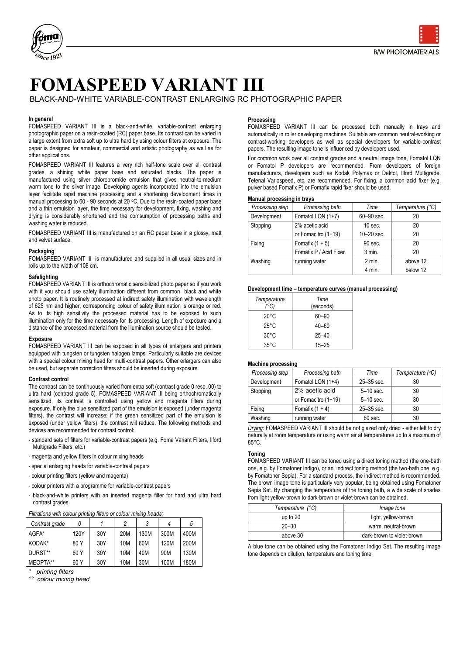

# **FOMASPEED VARIANT III**

BLACK-AND-WHITE VARIABLE-CONTRAST ENLARGING RC PHOTOGRAPHIC PAPER

# **In general**

FOMASPEED VARIANT III is a black-and-white, variable-contrast enlarging photographic paper on a resin-coated (RC) paper base. Its contrast can be varied in a large extent from extra soft up to ultra hard by using colour filters at exposure. The paper is designed for amateur, commercial and artistic photography as well as for other applications.

FOMASPEED VARIANT III features a very rich half-tone scale over all contrast grades, a shining white paper base and saturated blacks. The paper is manufactured using silver chlorobromide emulsion that gives neutral-to-medium warm tone to the silver image. Developing agents incorporated into the emulsion layer facilitate rapid machine processing and a shortening development times in manual processing to 60 - 90 seconds at 20 °C. Due to the resin-coated paper base and a thin emulsion layer, the time necessary for development, fixing, washing and drying is considerably shortened and the comsumption of processing baths and washing water is reduced.

FOMASPEED VARIANT III is manufactured on an RC paper base in a glossy, matt and velvet surface.

### **Packaging**

FOMASPEED VARIANT III is manufactured and supplied in all usual sizes and in rolls up to the width of 108 cm.

# **Safelighting**

FOMASPEED VARIANT III is orthochromatic sensibilized photo paper so if you work with it you should use safety illumination different from common black and white photo paper. It is routinely processed at indirect safety illumination with wavelength of 625 nm and higher, corresponding colour of safety illumination is orange or red. As to its high sensitivity the processed material has to be exposed to such illumination only for the time necessary for its processing. Length of exposure and a distance of the processed material from the illumination source should be tested.

# **Exposure**

FOMASPEED VARIANT III can be exposed in all types of enlargers and printers equipped with tungsten or tungsten halogen lamps. Particularly suitable are devices with a special colour mixing head for multi-contrast papers. Other erlargers can also be used, but separate correction filters should be inserted during exposure.

### **Contrast control**

The contrast can be continuously varied from extra soft (contrast grade 0 resp. 00) to ultra hard (contrast grade 5). FOMASPEED VARIANT III being orthochromatically sensitized, its contrast is controlled using yellow and magenta filters during exposure. If only the blue sensitized part of the emulsion is exposed (under magenta filters), the contrast will increase; if the green sensitized part of the emulsion is exposed (under yellow filters), the contrast will reduce. The following methods and devices are recommended for contrast control:

- standard sets of filters for variable-contrast papers (e.g. Foma Variant Filters, Ilford Multigrade Filters, etc.)
- magenta and yellow filters in colour mixing heads
- special enlarging heads for variable-contrast papers
- colour printing filters (yellow and magenta)
- colour printers with a programme for variable-contrast papers
- black-and-white printers with an inserted magenta filter for hard and ultra hard contrast grades

| Contrast grade | 0    |     | C               |      |      | 5    |
|----------------|------|-----|-----------------|------|------|------|
| AGFA*          | 120Y | 30Y | 20M             | 130M | 300M | 400M |
| KODAK*         | 80 Y | 30Y | 10 <sub>M</sub> | 60M  | 120M | 200M |
| DURST**        | 60 Y | 30Y | 10M             | 40M  | 90M  | 130M |
| MEOPTA**       | 60 Y | 30Y | <b>10M</b>      | 30M  | 100M | 180M |

*° printing filters*

*°° colour mixing head*

# **Processing**

FOMASPEED VARIANT III can be processed both manually in trays and automatically in roller developing machines. Suitable are common neutral-working or contrast-working developers as well as special developers for variable-contrast papers. The resulting image tone is influenced by developers used.

For common work over all contrast grades and a neutral image tone, Fomatol LQN or Fomatol P developers are recommended. From developers of foreign manufacturers, developers such as Kodak Polymax or Dektol, Ilford Multigrade, Tetenal Variospeed, etc. are recommended. For fixing, a common acid fixer (e.g. pulver based Fomafix P) or Fomafix rapid fixer should be used.

#### **Manual processing in trays**

| Processing step | Processing bath        | Time           | Temperature (°C) |
|-----------------|------------------------|----------------|------------------|
| Development     | Fomatol LQN (1+7)      | 60-90 sec.     | 20               |
| Stopping        | 2% acetic acid         | $10$ sec.      | 20               |
|                 | or Fomacitro (1+19)    | $10 - 20$ sec. | 20               |
| Fixing          | Fomafix $(1 + 5)$      | $90$ sec.      | 20               |
|                 | Fomafix P / Acid Fixer | 3 min          | 20               |
| Washing         | running water          | $2$ min.       | above 12         |
|                 |                        | 4 min.         | below 12         |

#### **Development time – temperature curves (manual processing)**

| Temperature    | Time<br>(seconds) |
|----------------|-------------------|
| $20^{\circ}$ C | 60-90             |
| $25^{\circ}$ C | $40 - 60$         |
| $30^{\circ}$ C | $25 - 40$         |
| $35^{\circ}$ C | $15 - 25$         |

#### **Machine processing**

| Processing step | Processing bath     | Time           | Temperature (°C) |  |
|-----------------|---------------------|----------------|------------------|--|
| Development     | Fomatol LQN (1+4)   | $25 - 35$ sec. | 30               |  |
| Stopping        | 2% acetic acid      | $5-10$ sec.    | 30               |  |
|                 | or Fomacitro (1+19) | $5-10$ sec.    | 30               |  |
| Fixing          | Fomafix $(1 + 4)$   | $25 - 35$ sec. | 30               |  |
| Washing         | running water       | 60 sec.        | 30               |  |
| _ .             |                     |                |                  |  |

*Drying*: FOMASPEED VARIANT III should be not glazed only dried - either left to dry naturally at room temperature or using warm air at temperatures up to a maximum of 85°C.

### **Toning**

FOMASPEED VARIANT III can be toned using a direct toning method (the one-bath one, e.g. by Fomatoner Indigo), or an indirect toning method (the two-bath one, e.g. by Fomatoner Sepia). For a standard process, the indirect method is recommended. The brown image tone is particularly very popular, being obtained using Fomatoner Sepia Set. By changing the temperature of the toning bath, a wide scale of shades from light yellow-brown to dark-brown or violet-brown can be obtained.

| Temperature (°C) | Image tone                 |
|------------------|----------------------------|
| up to $20$       | light, yellow-brown        |
| $20 - 30$        | warm, neutral-brown        |
| above 30         | dark-brown to violet-brown |

A blue tone can be obtained using the Fomatoner Indigo Set. The resulting image tone depends on dilution, temperature and toning time.